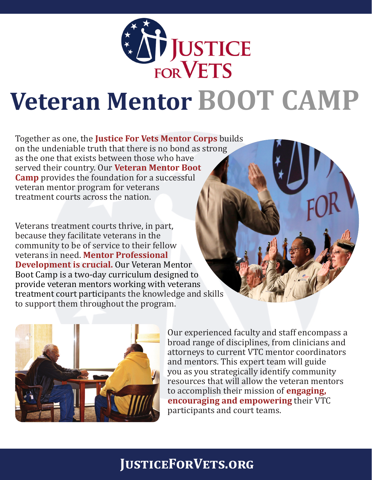

# **Veteran Mentor BOOT CAMP**

Together as one, the **Justice For Vets Mentor Corps** builds on the undeniable truth that there is no bond as strong as the one that exists between those who have served their country. Our **Veteran Mentor Boot Camp** provides the foundation for a successful veteran mentor program for veterans treatment courts across the nation.

Veterans treatment courts thrive, in part, because they facilitate veterans in the community to be of service to their fellow veterans in need. **Mentor Professional Development is crucial.** Our Veteran Mentor Boot Camp is a two-day curriculum designed to provide veteran mentors working with veterans treatment court participants the knowledge and skills to support them throughout the program.



Our experienced faculty and staff encompass a broad range of disciplines, from clinicians and attorneys to current VTC mentor coordinators and mentors. This expert team will guide you as you strategically identify community resources that will allow the veteran mentors to accomplish their mission of **engaging, encouraging and empowering** their VTC participants and court teams.

# **JusticeForVets.org**